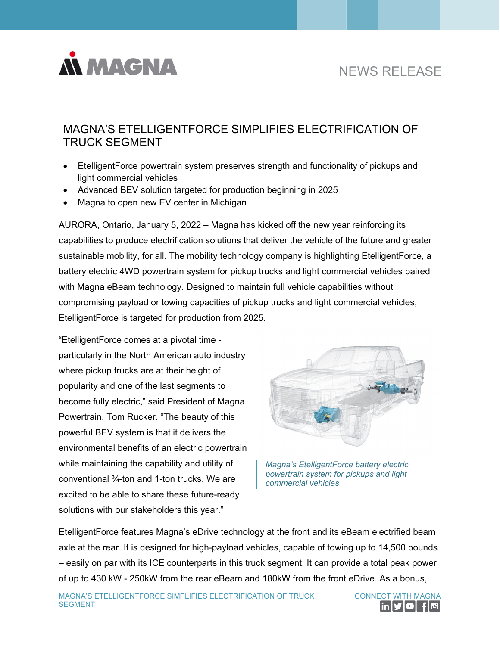

# NEWS RELEASE

# MAGNA'S ETELLIGENTFORCE SIMPLIFIES ELECTRIFICATION OF TRUCK SEGMENT

- EtelligentForce powertrain system preserves strength and functionality of pickups and light commercial vehicles
- Advanced BEV solution targeted for production beginning in 2025
- Magna to open new EV center in Michigan

AURORA, Ontario, January 5, 2022 – Magna has kicked off the new year reinforcing its capabilities to produce electrification solutions that deliver the vehicle of the future and greater sustainable mobility, for all. The mobility technology company is highlighting EtelligentForce, a battery electric 4WD powertrain system for pickup trucks and light commercial vehicles paired with Magna eBeam technology. Designed to maintain full vehicle capabilities without compromising payload or towing capacities of pickup trucks and light commercial vehicles, EtelligentForce is targeted for production from 2025.

"EtelligentForce comes at a pivotal time particularly in the North American auto industry where pickup trucks are at their height of popularity and one of the last segments to become fully electric," said President of Magna Powertrain, Tom Rucker. "The beauty of this powerful BEV system is that it delivers the environmental benefits of an electric powertrain while maintaining the capability and utility of conventional ¾-ton and 1-ton trucks. We are excited to be able to share these future-ready solutions with our stakeholders this year."



*Magna's EtelligentForce battery electric powertrain system for pickups and light commercial vehicles* 

EtelligentForce features Magna's eDrive technology at the front and its eBeam electrified beam axle at the rear. It is designed for high-payload vehicles, capable of towing up to 14,500 pounds – easily on par with its ICE counterparts in this truck segment. It can provide a total peak power of up to 430 kW - 250kW from the rear eBeam and 180kW from the front eDrive. As a bonus,

MAGNA'S ETELLIGENTFORCE SIMPLIFIES ELECTRIFICATION OF TRUCK SEGMENT

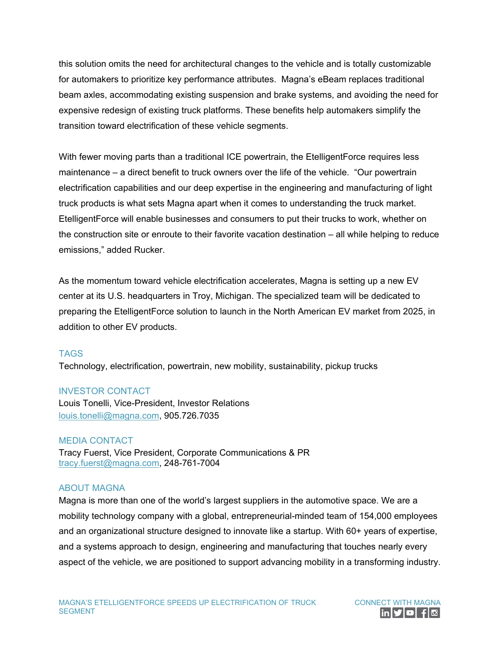this solution omits the need for architectural changes to the vehicle and is totally customizable for automakers to prioritize key performance attributes. Magna's eBeam replaces traditional beam axles, accommodating existing suspension and brake systems, and avoiding the need for expensive redesign of existing truck platforms. These benefits help automakers simplify the transition toward electrification of these vehicle segments.

With fewer moving parts than a traditional ICE powertrain, the EtelligentForce requires less maintenance – a direct benefit to truck owners over the life of the vehicle. "Our powertrain electrification capabilities and our deep expertise in the engineering and manufacturing of light truck products is what sets Magna apart when it comes to understanding the truck market. EtelligentForce will enable businesses and consumers to put their trucks to work, whether on the construction site or enroute to their favorite vacation destination – all while helping to reduce emissions," added Rucker.

As the momentum toward vehicle electrification accelerates, Magna is setting up a new EV center at its U.S. headquarters in Troy, Michigan. The specialized team will be dedicated to preparing the EtelligentForce solution to launch in the North American EV market from 2025, in addition to other EV products.

#### TAGS

Technology, electrification, powertrain, new mobility, sustainability, pickup trucks

### INVESTOR CONTACT

Louis Tonelli, Vice-President, Investor Relations [louis.tonelli@magna.com,](mailto:louis.tonelli@magna.com) 905.726.7035

#### MEDIA CONTACT

Tracy Fuerst, Vice President, Corporate Communications & PR [tracy.fuerst@magna.com,](mailto:tracy.fuerst@magna.com) 248-761-7004

## ABOUT MAGNA

Magna is more than one of the world's largest suppliers in the automotive space. We are a mobility technology company with a global, entrepreneurial-minded team of 154,000 employees and an organizational structure designed to innovate like a startup. With 60+ years of expertise, and a systems approach to design, engineering and manufacturing that touches nearly every aspect of the vehicle, we are positioned to support advancing mobility in a transforming industry.